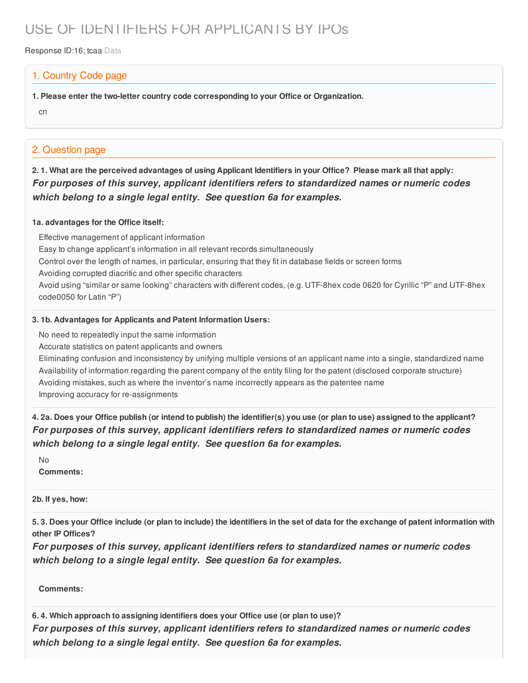# USE OF IDENTIFIERS FOR APPLICANTS BY IPOs

Response ID:16; tcaa Data

### 1. Country Code page

**1. Please enter the two-letter country code corresponding to your Office or Organization.**

cn

## 2. Question page

2.1. What are the perceived advantages of using Applicant Identifiers in your Office? Please mark all that apply: *For purposes of this survey, applicant identifiers refers to standardized names or numeric codes which belong to a single legal entity. See question 6a for examples.*

#### **1a. advantages for the Office itself:**

Effective management of applicant information Easy to change applicant's information in all relevant records simultaneously Control over the length of names, in particular, ensuring that they fit in database fields or screen forms Avoiding corrupted diacritic and other specific characters Avoid using "similar or same looking" characters with different codes, (e.g. UTF-8hex code 0620 for Cyrillic "P" and UTF-8hex code0050 for Latin "P")

#### **3. 1b. Advantages for Applicants and Patent Information Users:**

No need to repeatedly input the same information

Accurate statistics on patent applicants and owners

Eliminating confusion and inconsistency by unifying multiple versions of an applicant name into a single, standardized name Availability of information regarding the parent company of the entity filing for the patent (disclosed corporate structure) Avoiding mistakes, such as where the inventor's name incorrectly appears as the patentee name Improving accuracy for re-assignments

4. 2a. Does your Office publish (or intend to publish) the identifier(s) you use (or plan to use) assigned to the applicant? *For purposes of this survey, applicant identifiers refers to standardized names or numeric codes which belong to a single legal entity. See question 6a for examples.*

No **Comments:**

**2b. If yes, how:**

5.3. Does your Office include (or plan to include) the identifiers in the set of data for the exchange of patent information with **other IP Offices?**

*For purposes of this survey, applicant identifiers refers to standardized names or numeric codes which belong to a single legal entity. See question 6a for examples.*

**Comments:**

**6. 4. Which approach to assigning identifiers does your Office use (or plan to use)?**

*For purposes of this survey, applicant identifiers refers to standardized names or numeric codes which belong to a single legal entity. See question 6a for examples.*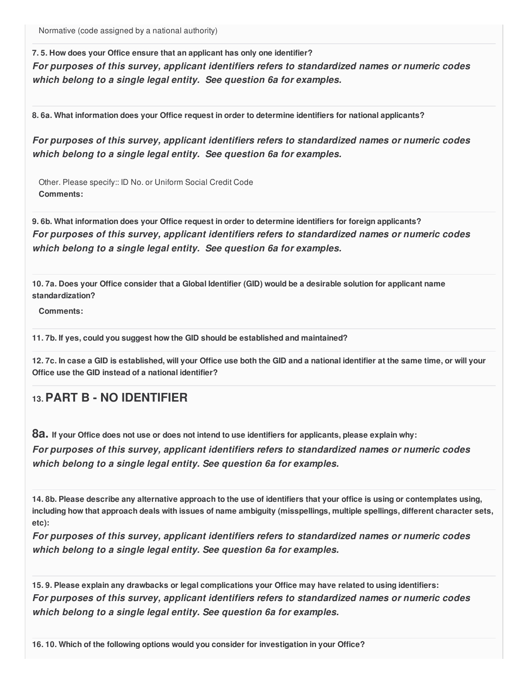Normative (code assigned by a national authority)

**7. 5. How does your Office ensure that an applicant has only one identifier?** *For purposes of this survey, applicant identifiers refers to standardized names or numeric codes which belong to a single legal entity. See question 6a for examples.*

**8. 6a. What information does your Office request in order to determine identifiers for national applicants?**

*For purposes of this survey, applicant identifiers refers to standardized names or numeric codes which belong to a single legal entity. See question 6a for examples.*

Other. Please specify:: ID No. or Uniform Social Credit Code **Comments:**

**9. 6b. What information does your Office request in order to determine identifiers for foreign applicants?** *For purposes of this survey, applicant identifiers refers to standardized names or numeric codes which belong to a single legal entity. See question 6a for examples.*

10.7a. Does your Office consider that a Global Identifier (GID) would be a desirable solution for applicant name **standardization?**

**Comments:**

**11. 7b. If yes, could you suggest how the GID should be established and maintained?**

12.7c. In case a GID is established, will your Office use both the GID and a national identifier at the same time, or will your **Office use the GID instead of a national identifier?**

# **13.PART B - NO IDENTIFIER**

8a. If your Office does not use or does not intend to use identifiers for applicants, please explain why:

*For purposes of this survey, applicant identifiers refers to standardized names or numeric codes which belong to a single legal entity. See question 6a for examples.*

14.8b. Please describe any alternative approach to the use of identifiers that your office is using or contemplates using, including how that approach deals with issues of name ambiguity (misspellings, multiple spellings, different character sets, **etc):**

*For purposes of this survey, applicant identifiers refers to standardized names or numeric codes which belong to a single legal entity. See question 6a for examples.*

15.9. Please explain any drawbacks or legal complications your Office may have related to using identifiers: *For purposes of this survey, applicant identifiers refers to standardized names or numeric codes which belong to a single legal entity. See question 6a for examples.*